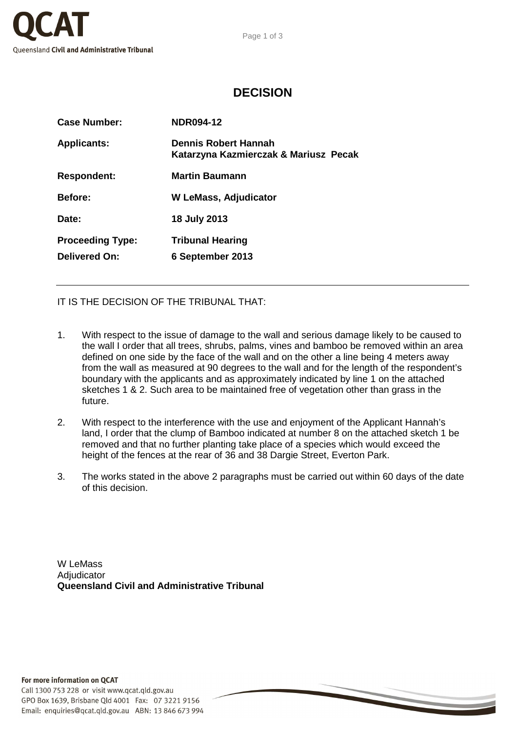

## **DECISION**

| <b>Case Number:</b>                      | <b>NDR094-12</b>                                                     |
|------------------------------------------|----------------------------------------------------------------------|
| <b>Applicants:</b>                       | <b>Dennis Robert Hannah</b><br>Katarzyna Kazmierczak & Mariusz Pecak |
| <b>Respondent:</b>                       | <b>Martin Baumann</b>                                                |
| <b>Before:</b>                           | <b>W LeMass, Adjudicator</b>                                         |
| Date:                                    | 18 July 2013                                                         |
| <b>Proceeding Type:</b><br>Delivered On: | <b>Tribunal Hearing</b><br>6 September 2013                          |
|                                          |                                                                      |

IT IS THE DECISION OF THE TRIBUNAL THAT:

- 1. With respect to the issue of damage to the wall and serious damage likely to be caused to the wall I order that all trees, shrubs, palms, vines and bamboo be removed within an area defined on one side by the face of the wall and on the other a line being 4 meters away from the wall as measured at 90 degrees to the wall and for the length of the respondent's boundary with the applicants and as approximately indicated by line 1 on the attached sketches 1 & 2. Such area to be maintained free of vegetation other than grass in the future.
- 2. With respect to the interference with the use and enjoyment of the Applicant Hannah's land, I order that the clump of Bamboo indicated at number 8 on the attached sketch 1 be removed and that no further planting take place of a species which would exceed the height of the fences at the rear of 36 and 38 Dargie Street, Everton Park.
- 3. The works stated in the above 2 paragraphs must be carried out within 60 days of the date of this decision.

W LeMass **Adiudicator Queensland Civil and Administrative Tribunal**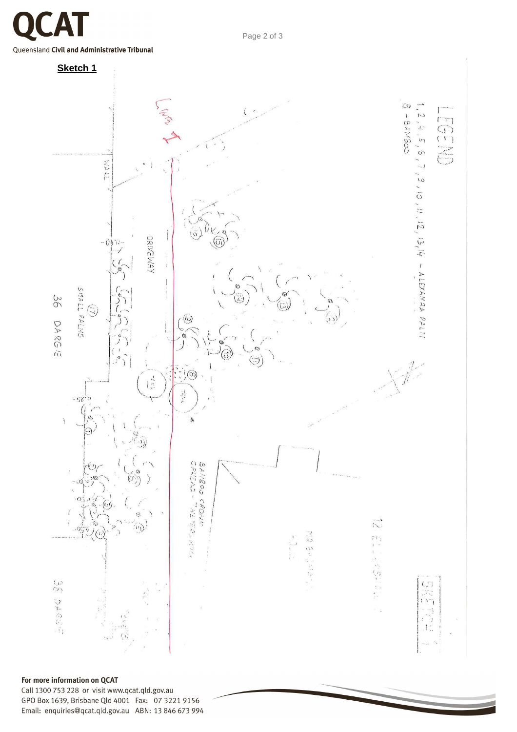Queensland Civil and Administrative Tribunal



## For more information on QCAT

Call 1300 753 228 or visit www.qcat.qld.gov.au GPO Box 1639, Brisbane Qld 4001 Fax: 07 3221 9156 Email: enquiries@qcat.qld.gov.au ABN: 13 846 673 994